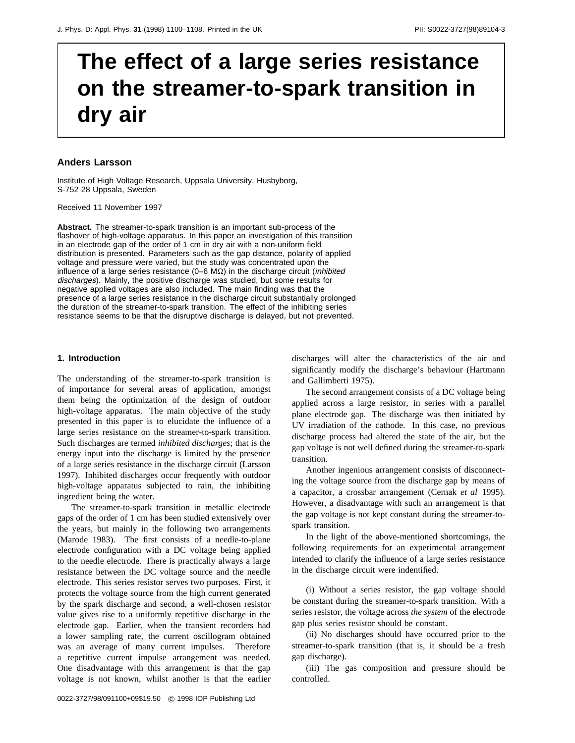# **The effect of a large series resistance on the streamer-to-spark transition in dry air**

## **Anders Larsson**

Institute of High Voltage Research, Uppsala University, Husbyborg, S-752 28 Uppsala, Sweden

Received 11 November 1997

**Abstract.** The streamer-to-spark transition is an important sub-process of the flashover of high-voltage apparatus. In this paper an investigation of this transition in an electrode gap of the order of 1 cm in dry air with a non-uniform field distribution is presented. Parameters such as the gap distance, polarity of applied voltage and pressure were varied, but the study was concentrated upon the influence of a large series resistance  $(0-6 \text{ M}\Omega)$  in the discharge circuit (inhibited discharges). Mainly, the positive discharge was studied, but some results for negative applied voltages are also included. The main finding was that the presence of a large series resistance in the discharge circuit substantially prolonged the duration of the streamer-to-spark transition. The effect of the inhibiting series resistance seems to be that the disruptive discharge is delayed, but not prevented.

#### **1. Introduction**

The understanding of the streamer-to-spark transition is of importance for several areas of application, amongst them being the optimization of the design of outdoor high-voltage apparatus. The main objective of the study presented in this paper is to elucidate the influence of a large series resistance on the streamer-to-spark transition. Such discharges are termed *inhibited discharges*; that is the energy input into the discharge is limited by the presence of a large series resistance in the discharge circuit (Larsson 1997). Inhibited discharges occur frequently with outdoor high-voltage apparatus subjected to rain, the inhibiting ingredient being the water.

The streamer-to-spark transition in metallic electrode gaps of the order of 1 cm has been studied extensively over the years, but mainly in the following two arrangements (Marode 1983). The first consists of a needle-to-plane electrode configuration with a DC voltage being applied to the needle electrode. There is practically always a large resistance between the DC voltage source and the needle electrode. This series resistor serves two purposes. First, it protects the voltage source from the high current generated by the spark discharge and second, a well-chosen resistor value gives rise to a uniformly repetitive discharge in the electrode gap. Earlier, when the transient recorders had a lower sampling rate, the current oscillogram obtained was an average of many current impulses. Therefore a repetitive current impulse arrangement was needed. One disadvantage with this arrangement is that the gap voltage is not known, whilst another is that the earlier

0022-3727/98/091100+09\$19.50 c 1998 IOP Publishing Ltd

discharges will alter the characteristics of the air and significantly modify the discharge's behaviour (Hartmann and Gallimberti 1975).

The second arrangement consists of a DC voltage being applied across a large resistor, in series with a parallel plane electrode gap. The discharge was then initiated by UV irradiation of the cathode. In this case, no previous discharge process had altered the state of the air, but the gap voltage is not well defined during the streamer-to-spark transition.

Another ingenious arrangement consists of disconnecting the voltage source from the discharge gap by means of a capacitor, a crossbar arrangement (Cernak *et al* 1995). However, a disadvantage with such an arrangement is that the gap voltage is not kept constant during the streamer-tospark transition.

In the light of the above-mentioned shortcomings, the following requirements for an experimental arrangement intended to clarify the influence of a large series resistance in the discharge circuit were indentified.

(i) Without a series resistor, the gap voltage should be constant during the streamer-to-spark transition. With a series resistor, the voltage across *the system* of the electrode gap plus series resistor should be constant.

(ii) No discharges should have occurred prior to the streamer-to-spark transition (that is, it should be a fresh gap discharge).

(iii) The gas composition and pressure should be controlled.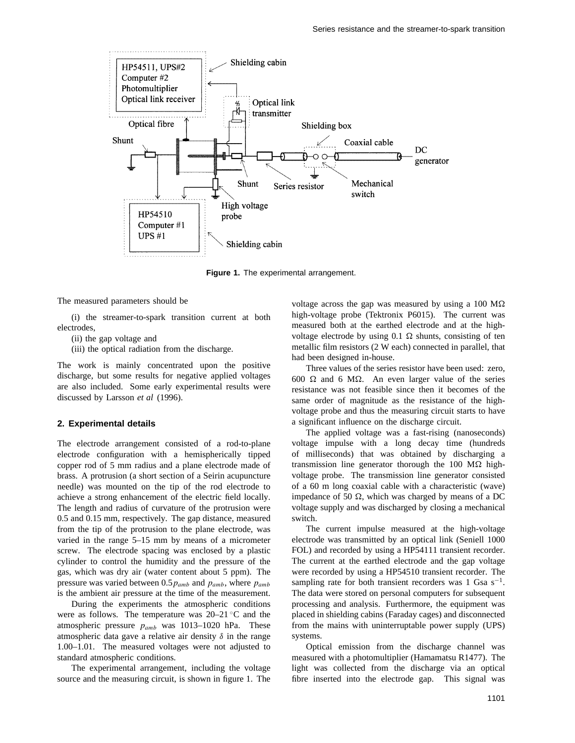

**Figure 1.** The experimental arrangement.

The measured parameters should be

(i) the streamer-to-spark transition current at both electrodes,

(ii) the gap voltage and

(iii) the optical radiation from the discharge.

The work is mainly concentrated upon the positive discharge, but some results for negative applied voltages are also included. Some early experimental results were discussed by Larsson *et al* (1996).

## **2. Experimental details**

The electrode arrangement consisted of a rod-to-plane electrode configuration with a hemispherically tipped copper rod of 5 mm radius and a plane electrode made of brass. A protrusion (a short section of a Seirin acupuncture needle) was mounted on the tip of the rod electrode to achieve a strong enhancement of the electric field locally. The length and radius of curvature of the protrusion were 0.5 and 0.15 mm, respectively. The gap distance, measured from the tip of the protrusion to the plane electrode, was varied in the range 5–15 mm by means of a micrometer screw. The electrode spacing was enclosed by a plastic cylinder to control the humidity and the pressure of the gas, which was dry air (water content about 5 ppm). The pressure was varied between 0.5*pamb* and *pamb*, where *pamb* is the ambient air pressure at the time of the measurement.

During the experiments the atmospheric conditions were as follows. The temperature was 20–21 ◦C and the atmospheric pressure *pamb* was 1013–1020 hPa. These atmospheric data gave a relative air density *δ* in the range 1.00–1.01. The measured voltages were not adjusted to standard atmospheric conditions.

The experimental arrangement, including the voltage source and the measuring circuit, is shown in figure 1. The voltage across the gap was measured by using a 100  $\text{M}\Omega$ high-voltage probe (Tektronix P6015). The current was measured both at the earthed electrode and at the highvoltage electrode by using 0.1  $\Omega$  shunts, consisting of ten metallic film resistors (2 W each) connected in parallel, that had been designed in-house.

Three values of the series resistor have been used: zero, 600  $\Omega$  and 6 M $\Omega$ . An even larger value of the series resistance was not feasible since then it becomes of the same order of magnitude as the resistance of the highvoltage probe and thus the measuring circuit starts to have a significant influence on the discharge circuit.

The applied voltage was a fast-rising (nanoseconds) voltage impulse with a long decay time (hundreds of milliseconds) that was obtained by discharging a transmission line generator thorough the 100 M $\Omega$  highvoltage probe. The transmission line generator consisted of a 60 m long coaxial cable with a characteristic (wave) impedance of 50  $\Omega$ , which was charged by means of a DC voltage supply and was discharged by closing a mechanical switch.

The current impulse measured at the high-voltage electrode was transmitted by an optical link (Seniell 1000 FOL) and recorded by using a HP54111 transient recorder. The current at the earthed electrode and the gap voltage were recorded by using a HP54510 transient recorder. The sampling rate for both transient recorders was 1 Gsa  $s^{-1}$ . The data were stored on personal computers for subsequent processing and analysis. Furthermore, the equipment was placed in shielding cabins (Faraday cages) and disconnected from the mains with uninterruptable power supply (UPS) systems.

Optical emission from the discharge channel was measured with a photomultiplier (Hamamatsu R1477). The light was collected from the discharge via an optical fibre inserted into the electrode gap. This signal was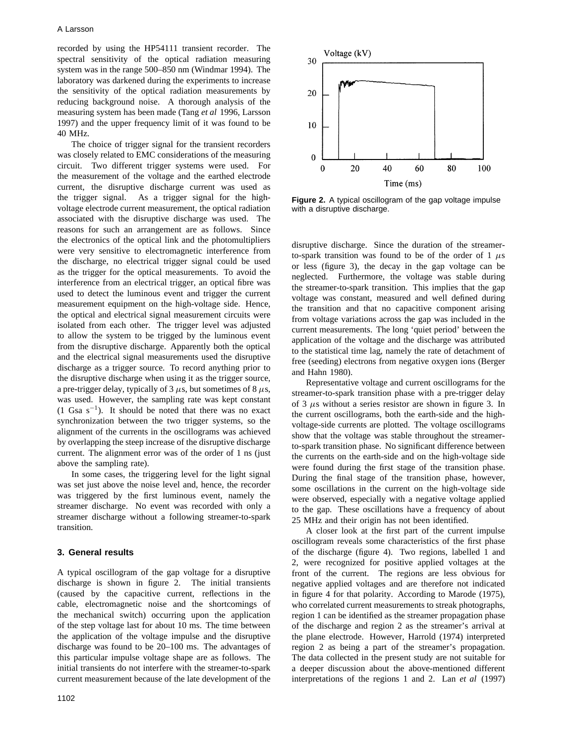recorded by using the HP54111 transient recorder. The spectral sensitivity of the optical radiation measuring system was in the range 500–850 nm (Windmar 1994). The laboratory was darkened during the experiments to increase the sensitivity of the optical radiation measurements by reducing background noise. A thorough analysis of the measuring system has been made (Tang *et al* 1996, Larsson 1997) and the upper frequency limit of it was found to be 40 MHz.

The choice of trigger signal for the transient recorders was closely related to EMC considerations of the measuring circuit. Two different trigger systems were used. For the measurement of the voltage and the earthed electrode current, the disruptive discharge current was used as the trigger signal. As a trigger signal for the highvoltage electrode current measurement, the optical radiation associated with the disruptive discharge was used. The reasons for such an arrangement are as follows. Since the electronics of the optical link and the photomultipliers were very sensitive to electromagnetic interference from the discharge, no electrical trigger signal could be used as the trigger for the optical measurements. To avoid the interference from an electrical trigger, an optical fibre was used to detect the luminous event and trigger the current measurement equipment on the high-voltage side. Hence, the optical and electrical signal measurement circuits were isolated from each other. The trigger level was adjusted to allow the system to be trigged by the luminous event from the disruptive discharge. Apparently both the optical and the electrical signal measurements used the disruptive discharge as a trigger source. To record anything prior to the disruptive discharge when using it as the trigger source, a pre-trigger delay, typically of 3  $\mu$ s, but sometimes of 8  $\mu$ s, was used. However, the sampling rate was kept constant (1 Gsa s<sup>-1</sup>). It should be noted that there was no exact synchronization between the two trigger systems, so the alignment of the currents in the oscillograms was achieved by overlapping the steep increase of the disruptive discharge current. The alignment error was of the order of 1 ns (just above the sampling rate).

In some cases, the triggering level for the light signal was set just above the noise level and, hence, the recorder was triggered by the first luminous event, namely the streamer discharge. No event was recorded with only a streamer discharge without a following streamer-to-spark transition.

## **3. General results**

A typical oscillogram of the gap voltage for a disruptive discharge is shown in figure 2. The initial transients (caused by the capacitive current, reflections in the cable, electromagnetic noise and the shortcomings of the mechanical switch) occurring upon the application of the step voltage last for about 10 ms. The time between the application of the voltage impulse and the disruptive discharge was found to be 20–100 ms. The advantages of this particular impulse voltage shape are as follows. The initial transients do not interfere with the streamer-to-spark current measurement because of the late development of the



**Figure 2.** A typical oscillogram of the gap voltage impulse with a disruptive discharge.

disruptive discharge. Since the duration of the streamerto-spark transition was found to be of the order of  $1 \mu s$ or less (figure 3), the decay in the gap voltage can be neglected. Furthermore, the voltage was stable during the streamer-to-spark transition. This implies that the gap voltage was constant, measured and well defined during the transition and that no capacitive component arising from voltage variations across the gap was included in the current measurements. The long 'quiet period' between the application of the voltage and the discharge was attributed to the statistical time lag, namely the rate of detachment of free (seeding) electrons from negative oxygen ions (Berger and Hahn 1980).

Representative voltage and current oscillograms for the streamer-to-spark transition phase with a pre-trigger delay of 3 *µ*s without a series resistor are shown in figure 3. In the current oscillograms, both the earth-side and the highvoltage-side currents are plotted. The voltage oscillograms show that the voltage was stable throughout the streamerto-spark transition phase. No significant difference between the currents on the earth-side and on the high-voltage side were found during the first stage of the transition phase. During the final stage of the transition phase, however, some oscillations in the current on the high-voltage side were observed, especially with a negative voltage applied to the gap. These oscillations have a frequency of about 25 MHz and their origin has not been identified.

A closer look at the first part of the current impulse oscillogram reveals some characteristics of the first phase of the discharge (figure 4). Two regions, labelled 1 and 2, were recognized for positive applied voltages at the front of the current. The regions are less obvious for negative applied voltages and are therefore not indicated in figure 4 for that polarity. According to Marode (1975), who correlated current measurements to streak photographs, region 1 can be identified as the streamer propagation phase of the discharge and region 2 as the streamer's arrival at the plane electrode. However, Harrold (1974) interpreted region 2 as being a part of the streamer's propagation. The data collected in the present study are not suitable for a deeper discussion about the above-mentioned different interpretations of the regions 1 and 2. Lan *et al* (1997)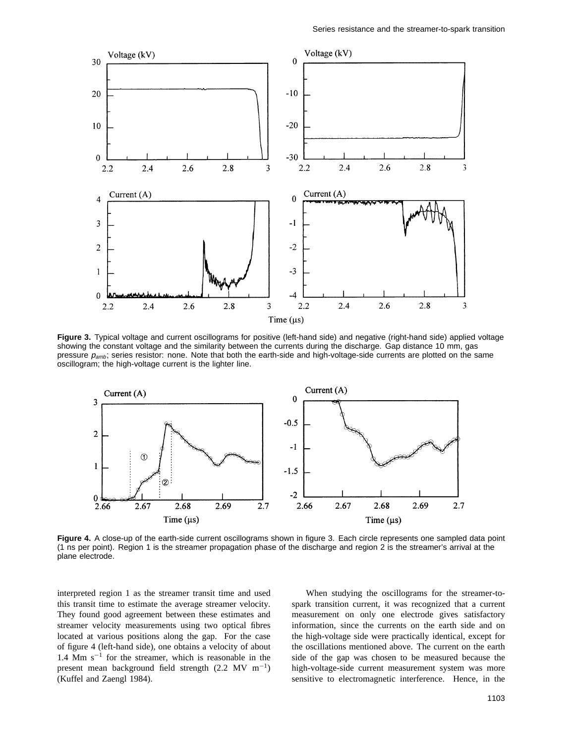

**Figure 3.** Typical voltage and current oscillograms for positive (left-hand side) and negative (right-hand side) applied voltage showing the constant voltage and the similarity between the currents during the discharge. Gap distance 10 mm, gas pressure  $p_{amb}$ ; series resistor: none. Note that both the earth-side and high-voltage-side currents are plotted on the same oscillogram; the high-voltage current is the lighter line.



**Figure 4.** A close-up of the earth-side current oscillograms shown in figure 3. Each circle represents one sampled data point (1 ns per point). Region 1 is the streamer propagation phase of the discharge and region 2 is the streamer's arrival at the plane electrode.

interpreted region 1 as the streamer transit time and used this transit time to estimate the average streamer velocity. They found good agreement between these estimates and streamer velocity measurements using two optical fibres located at various positions along the gap. For the case of figure 4 (left-hand side), one obtains a velocity of about 1.4 Mm s−<sup>1</sup> for the streamer, which is reasonable in the present mean background field strength (2.2 MV  $m^{-1}$ ) (Kuffel and Zaengl 1984).

When studying the oscillograms for the streamer-tospark transition current, it was recognized that a current measurement on only one electrode gives satisfactory information, since the currents on the earth side and on the high-voltage side were practically identical, except for the oscillations mentioned above. The current on the earth side of the gap was chosen to be measured because the high-voltage-side current measurement system was more sensitive to electromagnetic interference. Hence, in the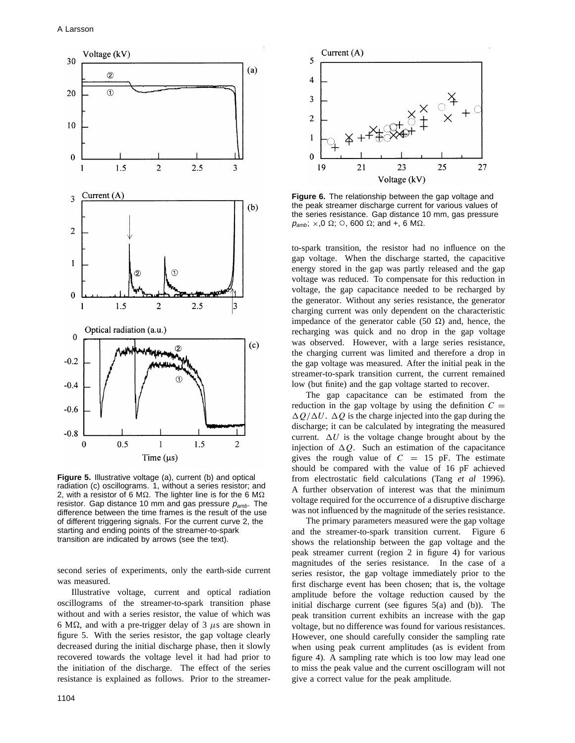

**Figure 5.** Illustrative voltage (a), current (b) and optical radiation (c) oscillograms. 1, without a series resistor; and 2, with a resistor of 6 M $\Omega$ . The lighter line is for the 6 M $\Omega$ resistor. Gap distance 10 mm and gas pressure  $p_{amb}$ . The difference between the time frames is the result of the use of different triggering signals. For the current curve 2, the starting and ending points of the streamer-to-spark transition are indicated by arrows (see the text).

second series of experiments, only the earth-side current was measured.

Illustrative voltage, current and optical radiation oscillograms of the streamer-to-spark transition phase without and with a series resistor, the value of which was 6 M $\Omega$ , and with a pre-trigger delay of 3  $\mu$ s are shown in figure 5. With the series resistor, the gap voltage clearly decreased during the initial discharge phase, then it slowly recovered towards the voltage level it had had prior to the initiation of the discharge. The effect of the series resistance is explained as follows. Prior to the streamer-



**Figure 6.** The relationship between the gap voltage and the peak streamer discharge current for various values of the series resistance. Gap distance 10 mm, gas pressure  $p_{amb}$ ;  $\times$ ,0  $\Omega$ ;  $\circ$ , 600  $\Omega$ ; and +, 6 M $\Omega$ .

to-spark transition, the resistor had no influence on the gap voltage. When the discharge started, the capacitive energy stored in the gap was partly released and the gap voltage was reduced. To compensate for this reduction in voltage, the gap capacitance needed to be recharged by the generator. Without any series resistance, the generator charging current was only dependent on the characteristic impedance of the generator cable (50  $\Omega$ ) and, hence, the recharging was quick and no drop in the gap voltage was observed. However, with a large series resistance, the charging current was limited and therefore a drop in the gap voltage was measured. After the initial peak in the streamer-to-spark transition current, the current remained low (but finite) and the gap voltage started to recover.

The gap capacitance can be estimated from the reduction in the gap voltage by using the definition  $C =$  $\Delta Q/\Delta U$ .  $\Delta Q$  is the charge injected into the gap during the discharge; it can be calculated by integrating the measured current.  $\Delta U$  is the voltage change brought about by the injection of  $\Delta Q$ . Such an estimation of the capacitance gives the rough value of  $C = 15$  pF. The estimate should be compared with the value of 16 pF achieved from electrostatic field calculations (Tang *et al* 1996). A further observation of interest was that the minimum voltage required for the occurrence of a disruptive discharge was not influenced by the magnitude of the series resistance.

The primary parameters measured were the gap voltage and the streamer-to-spark transition current. Figure 6 shows the relationship between the gap voltage and the peak streamer current (region 2 in figure 4) for various magnitudes of the series resistance. In the case of a series resistor, the gap voltage immediately prior to the first discharge event has been chosen; that is, the voltage amplitude before the voltage reduction caused by the initial discharge current (see figures 5(a) and (b)). The peak transition current exhibits an increase with the gap voltage, but no difference was found for various resistances. However, one should carefully consider the sampling rate when using peak current amplitudes (as is evident from figure 4). A sampling rate which is too low may lead one to miss the peak value and the current oscillogram will not give a correct value for the peak amplitude.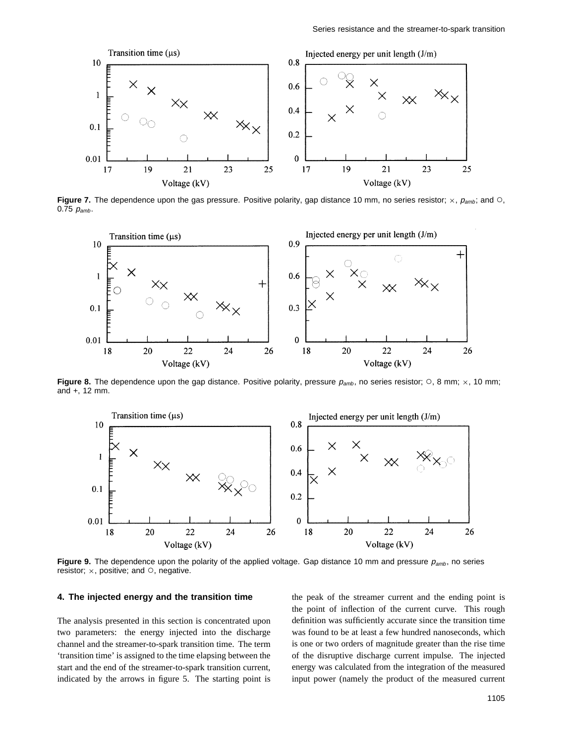

**Figure 7.** The dependence upon the gas pressure. Positive polarity, gap distance 10 mm, no series resistor;  $\times$ ,  $p_{amb}$ ; and  $\circ$ ,  $0.75$   $p_{amb}$ .



**Figure 8.** The dependence upon the gap distance. Positive polarity, pressure  $p_{amb}$ , no series resistor;  $\circ$ , 8 mm;  $\times$ , 10 mm; and +, 12 mm.



Figure 9. The dependence upon the polarity of the applied voltage. Gap distance 10 mm and pressure  $p_{amb}$ , no series resistor;  $\times$ , positive; and  $\circ$ , negative.

#### **4. The injected energy and the transition time**

The analysis presented in this section is concentrated upon two parameters: the energy injected into the discharge channel and the streamer-to-spark transition time. The term 'transition time' is assigned to the time elapsing between the start and the end of the streamer-to-spark transition current, indicated by the arrows in figure 5. The starting point is the peak of the streamer current and the ending point is the point of inflection of the current curve. This rough definition was sufficiently accurate since the transition time was found to be at least a few hundred nanoseconds, which is one or two orders of magnitude greater than the rise time of the disruptive discharge current impulse. The injected energy was calculated from the integration of the measured input power (namely the product of the measured current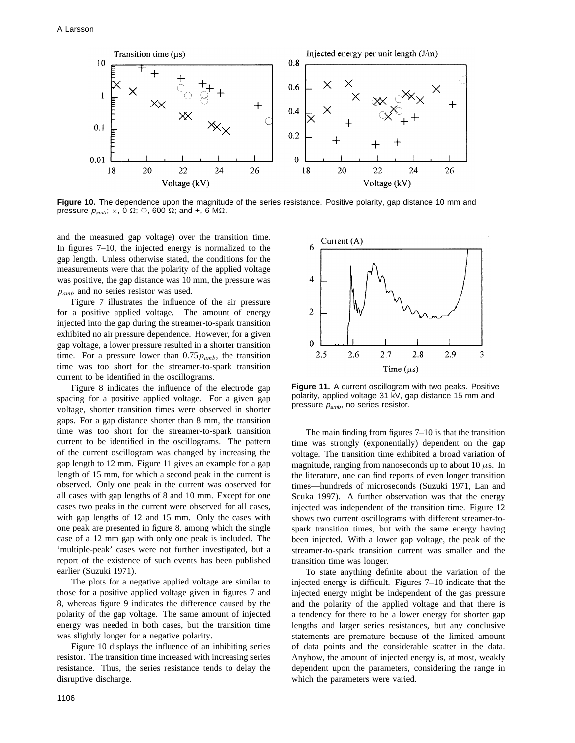

**Figure 10.** The dependence upon the magnitude of the series resistance. Positive polarity, gap distance 10 mm and pressure  $p_{amb}$ ;  $\times$ , 0  $\Omega$ ;  $\circ$ , 600  $\Omega$ ; and +, 6 M $\Omega$ .

and the measured gap voltage) over the transition time. In figures 7–10, the injected energy is normalized to the gap length. Unless otherwise stated, the conditions for the measurements were that the polarity of the applied voltage was positive, the gap distance was 10 mm, the pressure was *pamb* and no series resistor was used.

Figure 7 illustrates the influence of the air pressure for a positive applied voltage. The amount of energy injected into the gap during the streamer-to-spark transition exhibited no air pressure dependence. However, for a given gap voltage, a lower pressure resulted in a shorter transition time. For a pressure lower than  $0.75p_{amb}$ , the transition time was too short for the streamer-to-spark transition current to be identified in the oscillograms.

Figure 8 indicates the influence of the electrode gap spacing for a positive applied voltage. For a given gap voltage, shorter transition times were observed in shorter gaps. For a gap distance shorter than 8 mm, the transition time was too short for the streamer-to-spark transition current to be identified in the oscillograms. The pattern of the current oscillogram was changed by increasing the gap length to 12 mm. Figure 11 gives an example for a gap length of 15 mm, for which a second peak in the current is observed. Only one peak in the current was observed for all cases with gap lengths of 8 and 10 mm. Except for one cases two peaks in the current were observed for all cases, with gap lengths of 12 and 15 mm. Only the cases with one peak are presented in figure 8, among which the single case of a 12 mm gap with only one peak is included. The 'multiple-peak' cases were not further investigated, but a report of the existence of such events has been published earlier (Suzuki 1971).

The plots for a negative applied voltage are similar to those for a positive applied voltage given in figures 7 and 8, whereas figure 9 indicates the difference caused by the polarity of the gap voltage. The same amount of injected energy was needed in both cases, but the transition time was slightly longer for a negative polarity.

Figure 10 displays the influence of an inhibiting series resistor. The transition time increased with increasing series resistance. Thus, the series resistance tends to delay the disruptive discharge.



**Figure 11.** A current oscillogram with two peaks. Positive polarity, applied voltage 31 kV, gap distance 15 mm and pressure  $p_{amb}$ , no series resistor.

The main finding from figures 7–10 is that the transition time was strongly (exponentially) dependent on the gap voltage. The transition time exhibited a broad variation of magnitude, ranging from nanoseconds up to about  $10 \mu s$ . In the literature, one can find reports of even longer transition times—hundreds of microseconds (Suzuki 1971, Lan and Scuka 1997). A further observation was that the energy injected was independent of the transition time. Figure 12 shows two current oscillograms with different streamer-tospark transition times, but with the same energy having been injected. With a lower gap voltage, the peak of the streamer-to-spark transition current was smaller and the transition time was longer.

To state anything definite about the variation of the injected energy is difficult. Figures 7–10 indicate that the injected energy might be independent of the gas pressure and the polarity of the applied voltage and that there is a tendency for there to be a lower energy for shorter gap lengths and larger series resistances, but any conclusive statements are premature because of the limited amount of data points and the considerable scatter in the data. Anyhow, the amount of injected energy is, at most, weakly dependent upon the parameters, considering the range in which the parameters were varied.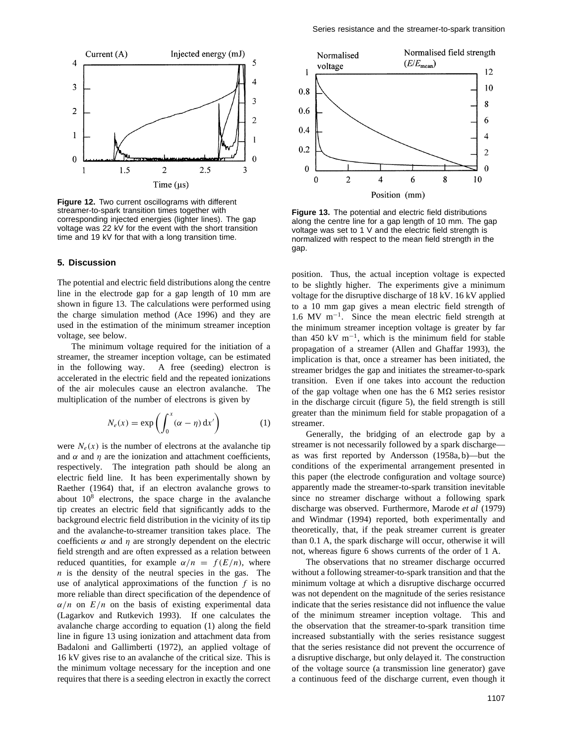

**Figure 12.** Two current oscillograms with different streamer-to-spark transition times together with corresponding injected energies (lighter lines). The gap voltage was 22 kV for the event with the short transition time and 19 kV for that with a long transition time.

## **5. Discussion**

The potential and electric field distributions along the centre line in the electrode gap for a gap length of 10 mm are shown in figure 13. The calculations were performed using the charge simulation method (Ace 1996) and they are used in the estimation of the minimum streamer inception voltage, see below.

The minimum voltage required for the initiation of a streamer, the streamer inception voltage, can be estimated in the following way. A free (seeding) electron is accelerated in the electric field and the repeated ionizations of the air molecules cause an electron avalanche. The multiplication of the number of electrons is given by

$$
N_e(x) = \exp\left(\int_0^x (\alpha - \eta) dx'\right)
$$
 (1)

were  $N_e(x)$  is the number of electrons at the avalanche tip and  $\alpha$  and  $\eta$  are the ionization and attachment coefficients, respectively. The integration path should be along an electric field line. It has been experimentally shown by Raether (1964) that, if an electron avalanche grows to about  $10^8$  electrons, the space charge in the avalanche tip creates an electric field that significantly adds to the background electric field distribution in the vicinity of its tip and the avalanche-to-streamer transition takes place. The coefficients  $\alpha$  and  $\eta$  are strongly dependent on the electric field strength and are often expressed as a relation between reduced quantities, for example  $\alpha/n = f(E/n)$ , where *n* is the density of the neutral species in the gas. The use of analytical approximations of the function *f* is no more reliable than direct specification of the dependence of  $\alpha/n$  on  $E/n$  on the basis of existing experimental data (Lagarkov and Rutkevich 1993). If one calculates the avalanche charge according to equation (1) along the field line in figure 13 using ionization and attachment data from Badaloni and Gallimberti (1972), an applied voltage of 16 kV gives rise to an avalanche of the critical size. This is the minimum voltage necessary for the inception and one requires that there is a seeding electron in exactly the correct



**Figure 13.** The potential and electric field distributions along the centre line for a gap length of 10 mm. The gap voltage was set to 1 V and the electric field strength is normalized with respect to the mean field strength in the gap.

position. Thus, the actual inception voltage is expected to be slightly higher. The experiments give a minimum voltage for the disruptive discharge of 18 kV. 16 kV applied to a 10 mm gap gives a mean electric field strength of 1.6 MV m−1. Since the mean electric field strength at the minimum streamer inception voltage is greater by far than 450 kV m<sup>-1</sup>, which is the minimum field for stable propagation of a streamer (Allen and Ghaffar 1993), the implication is that, once a streamer has been initiated, the streamer bridges the gap and initiates the streamer-to-spark transition. Even if one takes into account the reduction of the gap voltage when one has the 6  $M\Omega$  series resistor in the discharge circuit (figure 5), the field strength is still greater than the minimum field for stable propagation of a streamer.

Generally, the bridging of an electrode gap by a streamer is not necessarily followed by a spark discharge as was first reported by Andersson (1958a, b)—but the conditions of the experimental arrangement presented in this paper (the electrode configuration and voltage source) apparently made the streamer-to-spark transition inevitable since no streamer discharge without a following spark discharge was observed. Furthermore, Marode *et al* (1979) and Windmar (1994) reported, both experimentally and theoretically, that, if the peak streamer current is greater than 0.1 A, the spark discharge will occur, otherwise it will not, whereas figure 6 shows currents of the order of 1 A.

The observations that no streamer discharge occurred without a following streamer-to-spark transition and that the minimum voltage at which a disruptive discharge occurred was not dependent on the magnitude of the series resistance indicate that the series resistance did not influence the value of the minimum streamer inception voltage. This and the observation that the streamer-to-spark transition time increased substantially with the series resistance suggest that the series resistance did not prevent the occurrence of a disruptive discharge, but only delayed it. The construction of the voltage source (a transmission line generator) gave a continuous feed of the discharge current, even though it